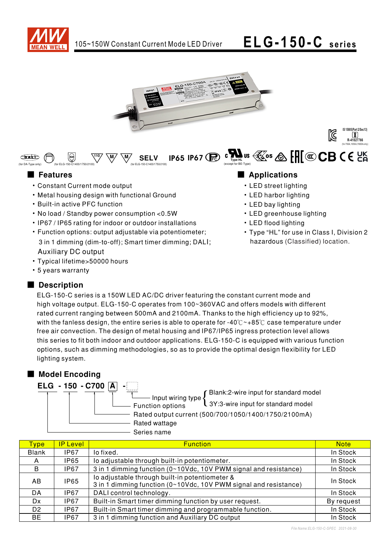

 $\overline{\mathbb{W}}$   $\overline{\mathbb{W}}$  SELV IP65 IP67  $\widehat{\mathbb{R}}$ 

**SFIV** 





### ■ Features ■ Preactions

(for DA-Type only)

 $\bigoplus$ 

- Constant Current mode output
- Metal housing design with functional Ground

(for ELG-150-C1400/1750/2100) (for ELG-150-C1400/1750/2100)

• Built-in active PFC function

(⊜

- No load / Standby power consumption < 0.5W
- IP67 / IP65 rating for indoor or outdoor installations
- Function options: output adjustable via potentiometer; 3 in 1 dimming (dim-to-off); Smart timer dimming; DALI; **Auxiliary DC output**
- Typical lifetime>50000 hours
- 5 years warranty

### Description

(except for BE-Type)

- LED street lighting
- LED harbor lighting
- LED bay lighting
- LED greenhouse lighting

 $\mathfrak{g}$   $\mathfrak{M}_{\mathfrak{g}}$  us  $\mathfrak{g}$  os  $\mathfrak{g}$   $\mathfrak{g}$   $\mathfrak{g}$   $\mathfrak{g}$   $\mathfrak{g}$   $\mathfrak{g}$   $\mathfrak{g}$   $\mathfrak{g}$   $\mathfrak{g}$   $\mathfrak{g}$   $\mathfrak{g}$   $\mathfrak{g}$   $\mathfrak{g}$   $\mathfrak{g}$   $\mathfrak{g}$   $\mathfrak{g}$   $\mathfrak{g}$   $\mathfrak{g}$ 

- LED flood lighting
- Type "HL" for use in Class I, Division 2 hazardous (Classified) location.

ELG-150-C series is a 150W LED AC/DC driver featuring the constant current mode and high voltage output. ELG-150-C operates from 100~360VAC and offers models with different rated current ranging between 500mA and 2100mA. Thanks to the high efficiency up to 92%, with the fanless design, the entire series is able to operate for -40° $C \sim +85$ ° $C$  case temperature under free air convection. The design of metal housing and IP67/IP65 ingress protection level allows this series to fit both indoor and outdoor applications. ELG-150-C is equipped with various function options, such as dimming methodologies, so as to provide the optimal design flexibility for LED lighting system.

### ■ Model Encoding



**Function options** Rated output current (500/700/1050/1400/1750/2100mA) Input wiring type  $\left\{ \begin{aligned} \text{Blank:2-wire input for standard model} \ 3Y:3\text{-wire input for standard model} \end{aligned} \right.$ 

Rated wattage Series name

| Tvpe           | <b>IP Level</b> | <b>Function</b>                                                                                                    | <b>Note</b> |
|----------------|-----------------|--------------------------------------------------------------------------------------------------------------------|-------------|
| <b>Blank</b>   | <b>IP67</b>     | lo fixed.                                                                                                          | In Stock    |
| A              | IP65            | lo adjustable through built-in potentiometer.                                                                      | In Stock    |
| B              | IP67            | 3 in 1 dimming function (0~10Vdc, 10V PWM signal and resistance)                                                   | In Stock    |
| AB             | <b>IP65</b>     | lo adjustable through built-in potentiometer &<br>3 in 1 dimming function (0~10Vdc, 10V PWM signal and resistance) | In Stock    |
| DA             | IP67            | DALI control technology.                                                                                           | In Stock    |
| Dx             | <b>IP67</b>     | Built-in Smart timer dimming function by user request.                                                             | By request  |
| D <sub>2</sub> | <b>IP67</b>     | Built-in Smart timer dimming and programmable function.                                                            | In Stock    |
| <b>BE</b>      | IP67            | 3 in 1 dimming function and Auxiliary DC output                                                                    | In Stock    |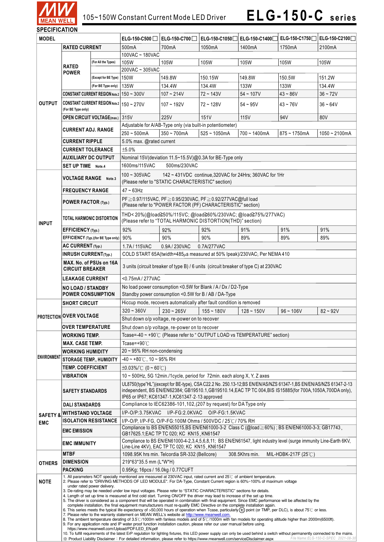

| JELUIFIUMI IUN      |                                                                                                                                                                                                                                                                                                                                                                                                                                                                                                                                                                                                                                                                                                                                                                                                                                                                                                                                                                                                                                                                                             |                                           |                                                                                                                                                                                                                                                                                   |                                                                                                                                                                      |                                                                                                                          |                 |                |                 |  |
|---------------------|---------------------------------------------------------------------------------------------------------------------------------------------------------------------------------------------------------------------------------------------------------------------------------------------------------------------------------------------------------------------------------------------------------------------------------------------------------------------------------------------------------------------------------------------------------------------------------------------------------------------------------------------------------------------------------------------------------------------------------------------------------------------------------------------------------------------------------------------------------------------------------------------------------------------------------------------------------------------------------------------------------------------------------------------------------------------------------------------|-------------------------------------------|-----------------------------------------------------------------------------------------------------------------------------------------------------------------------------------------------------------------------------------------------------------------------------------|----------------------------------------------------------------------------------------------------------------------------------------------------------------------|--------------------------------------------------------------------------------------------------------------------------|-----------------|----------------|-----------------|--|
| <b>MODEL</b>        |                                                                                                                                                                                                                                                                                                                                                                                                                                                                                                                                                                                                                                                                                                                                                                                                                                                                                                                                                                                                                                                                                             | ELG-150-C500                              | ELG-150-C700                                                                                                                                                                                                                                                                      | ELG-150-C1050                                                                                                                                                        | ELG-150-C1400                                                                                                            | ELG-150-C1750   | ELG-150-C2100  |                 |  |
|                     | <b>RATED CURRENT</b>                                                                                                                                                                                                                                                                                                                                                                                                                                                                                                                                                                                                                                                                                                                                                                                                                                                                                                                                                                                                                                                                        |                                           | 500 <sub>m</sub> A                                                                                                                                                                                                                                                                | 700mA                                                                                                                                                                | 1050mA                                                                                                                   | 1400mA          | 1750mA         | 2100mA          |  |
|                     |                                                                                                                                                                                                                                                                                                                                                                                                                                                                                                                                                                                                                                                                                                                                                                                                                                                                                                                                                                                                                                                                                             |                                           | 100VAC ~ 180VAC                                                                                                                                                                                                                                                                   |                                                                                                                                                                      |                                                                                                                          |                 |                |                 |  |
|                     | <b>RATED</b><br><b>POWER</b>                                                                                                                                                                                                                                                                                                                                                                                                                                                                                                                                                                                                                                                                                                                                                                                                                                                                                                                                                                                                                                                                | (For All the Types)                       | 105W                                                                                                                                                                                                                                                                              | 105W                                                                                                                                                                 | 105W                                                                                                                     | 105W            | 105W           | 105W            |  |
|                     |                                                                                                                                                                                                                                                                                                                                                                                                                                                                                                                                                                                                                                                                                                                                                                                                                                                                                                                                                                                                                                                                                             |                                           | 200VAC ~ 305VAC                                                                                                                                                                                                                                                                   |                                                                                                                                                                      |                                                                                                                          |                 |                |                 |  |
|                     |                                                                                                                                                                                                                                                                                                                                                                                                                                                                                                                                                                                                                                                                                                                                                                                                                                                                                                                                                                                                                                                                                             | (Except for BE Type)                      | 150W                                                                                                                                                                                                                                                                              | 149.8W                                                                                                                                                               | 150.15W                                                                                                                  | 149.8W          | 150.5W         | 151.2W          |  |
|                     |                                                                                                                                                                                                                                                                                                                                                                                                                                                                                                                                                                                                                                                                                                                                                                                                                                                                                                                                                                                                                                                                                             | (For BE Type only)                        | 135W                                                                                                                                                                                                                                                                              | 134.4W                                                                                                                                                               | 134.4W                                                                                                                   | 133W            | 133W           | 134.4W          |  |
|                     |                                                                                                                                                                                                                                                                                                                                                                                                                                                                                                                                                                                                                                                                                                                                                                                                                                                                                                                                                                                                                                                                                             | CONSTANT CURRENT REGION Note.2 150 ~ 300V |                                                                                                                                                                                                                                                                                   | $107 - 214V$                                                                                                                                                         | $72 - 143V$                                                                                                              | $54 - 107V$     | $43 - 86V$     | $36 - 72V$      |  |
| <b>OUTPUT</b>       | <b>CONSTANT CURRENT REGION Note.2   150 ~ 270V</b>                                                                                                                                                                                                                                                                                                                                                                                                                                                                                                                                                                                                                                                                                                                                                                                                                                                                                                                                                                                                                                          |                                           |                                                                                                                                                                                                                                                                                   | $107 - 192V$                                                                                                                                                         | 72~128V                                                                                                                  | $54 - 95V$      | $43 - 76V$     | $36 - 64V$      |  |
|                     | (For BE Type only)                                                                                                                                                                                                                                                                                                                                                                                                                                                                                                                                                                                                                                                                                                                                                                                                                                                                                                                                                                                                                                                                          |                                           |                                                                                                                                                                                                                                                                                   |                                                                                                                                                                      |                                                                                                                          |                 |                |                 |  |
|                     | <b>OPEN CIRCUIT VOLTAGE(max.)</b>                                                                                                                                                                                                                                                                                                                                                                                                                                                                                                                                                                                                                                                                                                                                                                                                                                                                                                                                                                                                                                                           |                                           | 315V                                                                                                                                                                                                                                                                              | 225V                                                                                                                                                                 | 151V                                                                                                                     | 115V            | 94V            | 80V             |  |
|                     | <b>CURRENT ADJ. RANGE</b><br><b>CURRENT RIPPLE</b>                                                                                                                                                                                                                                                                                                                                                                                                                                                                                                                                                                                                                                                                                                                                                                                                                                                                                                                                                                                                                                          |                                           |                                                                                                                                                                                                                                                                                   |                                                                                                                                                                      | Adjustable for A/AB-Type only (via built-in potentiometer)                                                               |                 |                |                 |  |
|                     |                                                                                                                                                                                                                                                                                                                                                                                                                                                                                                                                                                                                                                                                                                                                                                                                                                                                                                                                                                                                                                                                                             |                                           | $250 - 500$ mA                                                                                                                                                                                                                                                                    | $350 - 700mA$                                                                                                                                                        | $525 - 1050mA$                                                                                                           | $700 - 1400$ mA | $875 - 1750mA$ | $1050 - 2100mA$ |  |
|                     |                                                                                                                                                                                                                                                                                                                                                                                                                                                                                                                                                                                                                                                                                                                                                                                                                                                                                                                                                                                                                                                                                             |                                           | 5.0% max. @rated current                                                                                                                                                                                                                                                          |                                                                                                                                                                      |                                                                                                                          |                 |                |                 |  |
|                     | <b>CURRENT TOLERANCE</b>                                                                                                                                                                                                                                                                                                                                                                                                                                                                                                                                                                                                                                                                                                                                                                                                                                                                                                                                                                                                                                                                    |                                           | ±5.0%                                                                                                                                                                                                                                                                             |                                                                                                                                                                      |                                                                                                                          |                 |                |                 |  |
|                     | <b>AUXILIARY DC OUTPUT</b>                                                                                                                                                                                                                                                                                                                                                                                                                                                                                                                                                                                                                                                                                                                                                                                                                                                                                                                                                                                                                                                                  |                                           | Nominal 15V(deviation 11.5~15.5V)@0.3A for BE-Type only                                                                                                                                                                                                                           |                                                                                                                                                                      |                                                                                                                          |                 |                |                 |  |
|                     | SET UP TIME Note.4                                                                                                                                                                                                                                                                                                                                                                                                                                                                                                                                                                                                                                                                                                                                                                                                                                                                                                                                                                                                                                                                          |                                           | 500ms/230VAC<br>1600ms/115VAC                                                                                                                                                                                                                                                     |                                                                                                                                                                      |                                                                                                                          |                 |                |                 |  |
|                     |                                                                                                                                                                                                                                                                                                                                                                                                                                                                                                                                                                                                                                                                                                                                                                                                                                                                                                                                                                                                                                                                                             |                                           |                                                                                                                                                                                                                                                                                   |                                                                                                                                                                      |                                                                                                                          |                 |                |                 |  |
|                     | <b>VOLTAGE RANGE</b> Note.3                                                                                                                                                                                                                                                                                                                                                                                                                                                                                                                                                                                                                                                                                                                                                                                                                                                                                                                                                                                                                                                                 |                                           | $100 - 305$ VAC<br>142 ~ 431VDC continue, 320VAC for 24Hrs; 360VAC for 1Hr<br>(Please refer to "STATIC CHARACTERISTIC" section)                                                                                                                                                   |                                                                                                                                                                      |                                                                                                                          |                 |                |                 |  |
|                     |                                                                                                                                                                                                                                                                                                                                                                                                                                                                                                                                                                                                                                                                                                                                                                                                                                                                                                                                                                                                                                                                                             |                                           |                                                                                                                                                                                                                                                                                   |                                                                                                                                                                      |                                                                                                                          |                 |                |                 |  |
|                     | <b>FREQUENCY RANGE</b>                                                                                                                                                                                                                                                                                                                                                                                                                                                                                                                                                                                                                                                                                                                                                                                                                                                                                                                                                                                                                                                                      |                                           | $47 - 63$ Hz                                                                                                                                                                                                                                                                      |                                                                                                                                                                      |                                                                                                                          |                 |                |                 |  |
|                     | POWER FACTOR (Typ.)                                                                                                                                                                                                                                                                                                                                                                                                                                                                                                                                                                                                                                                                                                                                                                                                                                                                                                                                                                                                                                                                         |                                           |                                                                                                                                                                                                                                                                                   |                                                                                                                                                                      | PF≥0.97/115VAC, PF≥0.95/230VAC, PF≥0.92/277VAC@full load<br>(Please refer to "POWER FACTOR (PF) CHARACTERISTIC" section) |                 |                |                 |  |
|                     |                                                                                                                                                                                                                                                                                                                                                                                                                                                                                                                                                                                                                                                                                                                                                                                                                                                                                                                                                                                                                                                                                             |                                           |                                                                                                                                                                                                                                                                                   |                                                                                                                                                                      |                                                                                                                          |                 |                |                 |  |
|                     | TOTAL HARMONIC DISTORTION                                                                                                                                                                                                                                                                                                                                                                                                                                                                                                                                                                                                                                                                                                                                                                                                                                                                                                                                                                                                                                                                   |                                           | THD<20%(@load≧50%/115VC; @load≧60%/230VAC; @load≧75%/277VAC)<br>(Please refer to "TOTAL HARMONIC DISTORTION(THD)" section)                                                                                                                                                        |                                                                                                                                                                      |                                                                                                                          |                 |                |                 |  |
| <b>INPUT</b>        |                                                                                                                                                                                                                                                                                                                                                                                                                                                                                                                                                                                                                                                                                                                                                                                                                                                                                                                                                                                                                                                                                             |                                           |                                                                                                                                                                                                                                                                                   |                                                                                                                                                                      |                                                                                                                          |                 |                |                 |  |
|                     | EFFICIENCY (Typ.)                                                                                                                                                                                                                                                                                                                                                                                                                                                                                                                                                                                                                                                                                                                                                                                                                                                                                                                                                                                                                                                                           |                                           | 92%                                                                                                                                                                                                                                                                               | 92%                                                                                                                                                                  | 92%                                                                                                                      | 91%             | 91%            | 91%             |  |
|                     |                                                                                                                                                                                                                                                                                                                                                                                                                                                                                                                                                                                                                                                                                                                                                                                                                                                                                                                                                                                                                                                                                             | EFFICIENCY (Typ.)(for BE Type only)       | 90%                                                                                                                                                                                                                                                                               | 90%                                                                                                                                                                  | 90%                                                                                                                      | 89%             | 89%            | 89%             |  |
|                     | AC CURRENT (Typ.)                                                                                                                                                                                                                                                                                                                                                                                                                                                                                                                                                                                                                                                                                                                                                                                                                                                                                                                                                                                                                                                                           |                                           | 1.7A/115VAC                                                                                                                                                                                                                                                                       | 0.9A/230VAC                                                                                                                                                          | 0.7A/277VAC                                                                                                              |                 |                |                 |  |
|                     | <b>INRUSH CURRENT(Typ.)</b>                                                                                                                                                                                                                                                                                                                                                                                                                                                                                                                                                                                                                                                                                                                                                                                                                                                                                                                                                                                                                                                                 |                                           | COLD START 65A(twidth=485µs measured at 50% Ipeak)/230VAC; Per NEMA 410                                                                                                                                                                                                           |                                                                                                                                                                      |                                                                                                                          |                 |                |                 |  |
|                     | MAX. No. of PSUs on 16A<br><b>CIRCUIT BREAKER</b>                                                                                                                                                                                                                                                                                                                                                                                                                                                                                                                                                                                                                                                                                                                                                                                                                                                                                                                                                                                                                                           |                                           | 3 units (circuit breaker of type B) / 6 units (circuit breaker of type C) at 230VAC                                                                                                                                                                                               |                                                                                                                                                                      |                                                                                                                          |                 |                |                 |  |
|                     | <b>LEAKAGE CURRENT</b>                                                                                                                                                                                                                                                                                                                                                                                                                                                                                                                                                                                                                                                                                                                                                                                                                                                                                                                                                                                                                                                                      |                                           | <0.75mA / 277VAC                                                                                                                                                                                                                                                                  |                                                                                                                                                                      |                                                                                                                          |                 |                |                 |  |
|                     | <b>NO LOAD / STANDBY</b>                                                                                                                                                                                                                                                                                                                                                                                                                                                                                                                                                                                                                                                                                                                                                                                                                                                                                                                                                                                                                                                                    |                                           | No load power consumption <0.5W for Blank / A / Dx / D2-Type                                                                                                                                                                                                                      |                                                                                                                                                                      |                                                                                                                          |                 |                |                 |  |
|                     | <b>POWER CONSUMPTION</b>                                                                                                                                                                                                                                                                                                                                                                                                                                                                                                                                                                                                                                                                                                                                                                                                                                                                                                                                                                                                                                                                    |                                           | Standby power consumption <0.5W for B / AB / DA-Type                                                                                                                                                                                                                              |                                                                                                                                                                      |                                                                                                                          |                 |                |                 |  |
|                     | <b>SHORT CIRCUIT</b>                                                                                                                                                                                                                                                                                                                                                                                                                                                                                                                                                                                                                                                                                                                                                                                                                                                                                                                                                                                                                                                                        |                                           | Hiccup mode, recovers automatically after fault condition is removed                                                                                                                                                                                                              |                                                                                                                                                                      |                                                                                                                          |                 |                |                 |  |
|                     | <b>PROTECTION OVER VOLTAGE</b>                                                                                                                                                                                                                                                                                                                                                                                                                                                                                                                                                                                                                                                                                                                                                                                                                                                                                                                                                                                                                                                              |                                           | $320 - 360V$                                                                                                                                                                                                                                                                      | $230 - 265V$                                                                                                                                                         | $155 - 180V$                                                                                                             | $128 - 150V$    | $96 - 106V$    | $82 - 92V$      |  |
|                     |                                                                                                                                                                                                                                                                                                                                                                                                                                                                                                                                                                                                                                                                                                                                                                                                                                                                                                                                                                                                                                                                                             |                                           |                                                                                                                                                                                                                                                                                   | Shut down o/p voltage, re-power on to recover                                                                                                                        |                                                                                                                          |                 |                |                 |  |
|                     | <b>OVER TEMPERATURE</b>                                                                                                                                                                                                                                                                                                                                                                                                                                                                                                                                                                                                                                                                                                                                                                                                                                                                                                                                                                                                                                                                     |                                           | Shut down o/p voltage, re-power on to recover                                                                                                                                                                                                                                     |                                                                                                                                                                      |                                                                                                                          |                 |                |                 |  |
|                     | <b>WORKING TEMP.</b>                                                                                                                                                                                                                                                                                                                                                                                                                                                                                                                                                                                                                                                                                                                                                                                                                                                                                                                                                                                                                                                                        |                                           |                                                                                                                                                                                                                                                                                   | Tcase=-40 ~ +90℃ (Please refer to "OUTPUT LOAD vs TEMPERATURE" section)                                                                                              |                                                                                                                          |                 |                |                 |  |
|                     | <b>MAX. CASE TEMP.</b>                                                                                                                                                                                                                                                                                                                                                                                                                                                                                                                                                                                                                                                                                                                                                                                                                                                                                                                                                                                                                                                                      |                                           | Tcase=+90 $\degree$ C                                                                                                                                                                                                                                                             |                                                                                                                                                                      |                                                                                                                          |                 |                |                 |  |
|                     | <b>WORKING HUMIDITY</b>                                                                                                                                                                                                                                                                                                                                                                                                                                                                                                                                                                                                                                                                                                                                                                                                                                                                                                                                                                                                                                                                     |                                           | $20 \sim 95\%$ RH non-condensing                                                                                                                                                                                                                                                  |                                                                                                                                                                      |                                                                                                                          |                 |                |                 |  |
| <b>ENVIRONMENT</b>  |                                                                                                                                                                                                                                                                                                                                                                                                                                                                                                                                                                                                                                                                                                                                                                                                                                                                                                                                                                                                                                                                                             |                                           | $-40 \sim +80^{\circ}$ C, 10 ~ 95% RH                                                                                                                                                                                                                                             |                                                                                                                                                                      |                                                                                                                          |                 |                |                 |  |
|                     | <b>STORAGE TEMP., HUMIDITY</b><br><b>TEMP. COEFFICIENT</b>                                                                                                                                                                                                                                                                                                                                                                                                                                                                                                                                                                                                                                                                                                                                                                                                                                                                                                                                                                                                                                  |                                           |                                                                                                                                                                                                                                                                                   |                                                                                                                                                                      |                                                                                                                          |                 |                |                 |  |
|                     | <b>VIBRATION</b>                                                                                                                                                                                                                                                                                                                                                                                                                                                                                                                                                                                                                                                                                                                                                                                                                                                                                                                                                                                                                                                                            |                                           | $\pm 0.03\%$ /°C (0 ~ 60°C)                                                                                                                                                                                                                                                       |                                                                                                                                                                      |                                                                                                                          |                 |                |                 |  |
|                     |                                                                                                                                                                                                                                                                                                                                                                                                                                                                                                                                                                                                                                                                                                                                                                                                                                                                                                                                                                                                                                                                                             |                                           | 10 ~ 500Hz, 5G 12min./1cycle, period for 72min. each along X, Y, Z axes                                                                                                                                                                                                           |                                                                                                                                                                      |                                                                                                                          |                 |                |                 |  |
|                     | <b>SAFETY STANDARDS</b>                                                                                                                                                                                                                                                                                                                                                                                                                                                                                                                                                                                                                                                                                                                                                                                                                                                                                                                                                                                                                                                                     |                                           | UL8750(type"HL")(except for BE-type), CSA C22.2 No. 250.13-12;BS EN/EN/AS/NZS 61347-1,BS EN/EN/AS/NZS 61347-2-13<br>independent, BS EN/EN62384; GB19510.1, GB19510.14, EAC TP TC 004, BIS IS15885(for 700A, 1050A, 700DA only),<br>IP65 or IP67; KC61347-1, KC61347-2-13 approved |                                                                                                                                                                      |                                                                                                                          |                 |                |                 |  |
|                     | <b>DALI STANDARDS</b>                                                                                                                                                                                                                                                                                                                                                                                                                                                                                                                                                                                                                                                                                                                                                                                                                                                                                                                                                                                                                                                                       |                                           | Compliance to IEC62386-101, 102, (207 by request) for DA Type only                                                                                                                                                                                                                |                                                                                                                                                                      |                                                                                                                          |                 |                |                 |  |
| <b>SAFETY &amp;</b> | <b>WITHSTAND VOLTAGE</b>                                                                                                                                                                                                                                                                                                                                                                                                                                                                                                                                                                                                                                                                                                                                                                                                                                                                                                                                                                                                                                                                    |                                           | I/P-O/P:3.75KVAC I/P-FG:2.0KVAC O/P-FG:1.5KVAC                                                                                                                                                                                                                                    |                                                                                                                                                                      |                                                                                                                          |                 |                |                 |  |
| <b>EMC</b>          | <b>ISOLATION RESISTANCE</b>                                                                                                                                                                                                                                                                                                                                                                                                                                                                                                                                                                                                                                                                                                                                                                                                                                                                                                                                                                                                                                                                 |                                           | I/P-O/P, I/P-FG, O/P-FG:100M Ohms / 500VDC / 25℃/ 70% RH                                                                                                                                                                                                                          |                                                                                                                                                                      |                                                                                                                          |                 |                |                 |  |
|                     | <b>EMC EMISSION</b>                                                                                                                                                                                                                                                                                                                                                                                                                                                                                                                                                                                                                                                                                                                                                                                                                                                                                                                                                                                                                                                                         |                                           | Compliance to BS EN/EN55015,BS EN/EN61000-3-2 Class C (@load≥60%) ; BS EN/EN61000-3-3; GB17743,                                                                                                                                                                                   |                                                                                                                                                                      |                                                                                                                          |                 |                |                 |  |
|                     |                                                                                                                                                                                                                                                                                                                                                                                                                                                                                                                                                                                                                                                                                                                                                                                                                                                                                                                                                                                                                                                                                             |                                           | GB17625.1;EAC TP TC 020; KC KN15, KN61547                                                                                                                                                                                                                                         |                                                                                                                                                                      |                                                                                                                          |                 |                |                 |  |
|                     | <b>EMC IMMUNITY</b>                                                                                                                                                                                                                                                                                                                                                                                                                                                                                                                                                                                                                                                                                                                                                                                                                                                                                                                                                                                                                                                                         |                                           |                                                                                                                                                                                                                                                                                   | Compliance to BS EN/EN61000-4-2,3,4,5,6,8,11; BS EN/EN61547, light industry level (surge immunity Line-Earth 6KV,<br>Line-Line 4KV), EAC TP TC 020; KC KN15, KN61547 |                                                                                                                          |                 |                |                 |  |
|                     | <b>MTBF</b>                                                                                                                                                                                                                                                                                                                                                                                                                                                                                                                                                                                                                                                                                                                                                                                                                                                                                                                                                                                                                                                                                 |                                           | 308.5Khrs min.<br>1098.95K hrs min. Telcordia SR-332 (Bellcore)<br>MIL-HDBK-217F (25 $\degree$ C)                                                                                                                                                                                 |                                                                                                                                                                      |                                                                                                                          |                 |                |                 |  |
| <b>OTHERS</b>       | <b>DIMENSION</b>                                                                                                                                                                                                                                                                                                                                                                                                                                                                                                                                                                                                                                                                                                                                                                                                                                                                                                                                                                                                                                                                            |                                           | 219*63*35.5 mm (L*W*H)                                                                                                                                                                                                                                                            |                                                                                                                                                                      |                                                                                                                          |                 |                |                 |  |
|                     | <b>PACKING</b>                                                                                                                                                                                                                                                                                                                                                                                                                                                                                                                                                                                                                                                                                                                                                                                                                                                                                                                                                                                                                                                                              |                                           | 0.95Kg; 16pcs / 16.0kg / 0.77CUFT                                                                                                                                                                                                                                                 |                                                                                                                                                                      |                                                                                                                          |                 |                |                 |  |
| <b>NOTE</b>         | 1. All parameters NOT specially mentioned are measured at 230VAC input, rated current and 25°C of ambient temperature.<br>2. Please refer to "DRIVING METHODS OF LED MODULE". For DA-Type, Constant Current region is 60%~100% of maximum voltage<br>under rated power delivery.<br>3. De-rating may be needed under low input voltages. Please refer to "STATIC CHARACTERISTIC" sections for details.<br>4. Length of set up time is measured at first cold start. Turning ON/OFF the driver may lead to increase of the set up time.<br>5. The driver is considered as a component that will be operated in combination with final equipment. Since EMC performance will be affected by the<br>complete installation, the final equipment manufacturers must re-qualify EMC Directive on the complete installation again.<br>6. This series meets the typical life expectancy of >50,000 hours of operation when Tcase, particularly (tc) point (or TMP, per DLC), is about 75°C or less.<br>7. Please refer to the warranty statement on MEAN WELL's website at http://www.meanwell.com. |                                           |                                                                                                                                                                                                                                                                                   |                                                                                                                                                                      |                                                                                                                          |                 |                |                 |  |
|                     | 8. The ambient temperature derating of 3.5°C/1000m with fanless models and of 5°C/1000m with fan models for operating altitude higher than 2000m(6500ft).<br>9. For any application note and IP water proof function installation caution, please refer our user manual before using.<br>https://www.meanwell.com/Upload/PDF/LED EN.pdf<br>10. To fulfill requirements of the latest ErP regulation for lighting fixtures, this LED power supply can only be used behind a switch without permanently connected to the mains.<br>File Name:ELG-150-C-SPEC 2021-08-30<br>※ Product Liability Disclaimer: For detailed information, please refer to https://www.meanwell.com/serviceDisclaimer.aspx                                                                                                                                                                                                                                                                                                                                                                                           |                                           |                                                                                                                                                                                                                                                                                   |                                                                                                                                                                      |                                                                                                                          |                 |                |                 |  |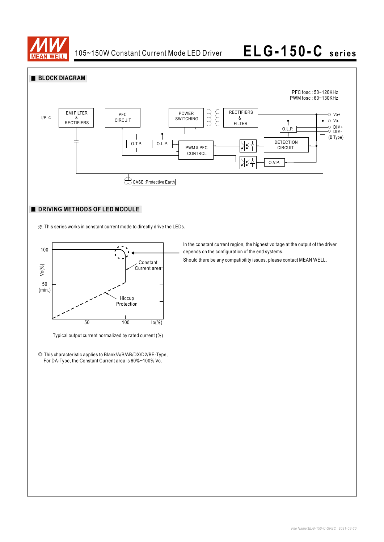



### **DRIVING METHODS OF LED MODULE**

※ This series works in constant current mode to directly drive the LEDs.



Typical output current normalized by rated current (%)

◎ This characteristic applies to Blank/A/B/AB/DX/D2/BE-Type, For DA-Type, the Constant Current area is 60%~100% Vo.

In the constant current region, the highest voltage at the output of the driver depends on the configuration of the end systems.

Should there be any compatibility issues, please contact MEAN WELL.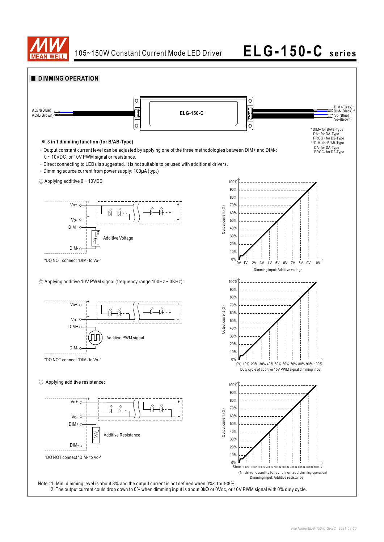

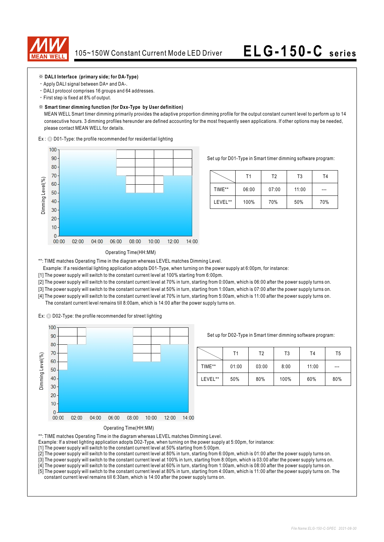

### ※ **DALI Interface (primary side; for DA-Type)**

- ‧Apply DALI signal between DA+ and DA-.
- ‧DALI protocol comprises 16 groups and 64 addresses.
- ‧First step is fixed at 8% of output.

#### ※ **Smart timer dimming function (for Dxx-Type by User definition)**

 MEAN WELL Smart timer dimming primarily provides the adaptive proportion dimming profile for the output constant current level to perform up to 14 consecutive hours. 3 dimming profiles hereunder are defined accounting for the most frequently seen applications. If other options may be needed, please contact MEAN WELL for details.

Ex : ◎ D01-Type: the profile recommended for residential lighting



Set up for D01-Type in Smart timer dimming software program:

|         | Τ1    | T2    | T3    | Τ4  |
|---------|-------|-------|-------|-----|
| TIME**  | 06:00 | 07:00 | 11:00 | --- |
| LEVEL** | 100%  | 70%   | 50%   | 70% |

#### Operating Time(HH:MM)

\*\*: TIME matches Operating Time in the diagram whereas LEVEL matches Dimming Level.

- Example: If a residential lighting application adopts D01-Type, when turning on the power supply at 6:00pm, for instance:
- [1] The power supply will switch to the constant current level at 100% starting from 6:00pm.
- [2] The power supply will switch to the constant current level at 70% in turn, starting from 0:00am, which is 06:00 after the power supply turns on.
- [3] The power supply will switch to the constant current level at 50% in turn, starting from 1:00am, which is 07:00 after the power supply turns on.
- [4] The power supply will switch to the constant current level at 70% in turn, starting from 5:00am, which is 11:00 after the power supply turns on. The constant current level remains till 8:00am, which is 14:00 after the power supply turns on.

Ex: ◎ D02-Type: the profile recommended for street lighting



Set up for D02-Type in Smart timer dimming software program:

|         | Τ1    | Т2    | T3   | T4    | T5  |
|---------|-------|-------|------|-------|-----|
| TIME**  | 01:00 | 03:00 | 8:00 | 11:00 | --- |
| LEVEL** | 50%   | 80%   | 100% | 60%   | 80% |



\*\*: TIME matches Operating Time in the diagram whereas LEVEL matches Dimming Level.

- Example: If a street lighting application adopts D02-Type, when turning on the power supply at 5:00pm, for instance:
- [1] The power supply will switch to the constant current level at 50% starting from 5:00pm.
- [2] The power supply will switch to the constant current level at 80% in turn, starting from 6:00pm, which is 01:00 after the power supply turns on.
- [3] The power supply will switch to the constant current level at 100% in turn, starting from 8:00pm, which is 03:00 after the power supply turns on.
- [4] The power supply will switch to the constant current level at 60% in turn, starting from 1:00am, which is 08:00 after the power supply turns on.

[5] The power supply will switch to the constant current level at 80% in turn, starting from 4:00am, which is 11:00 after the power supply turns on. The constant current level remains till 6:30am, which is 14:00 after the power supply turns on.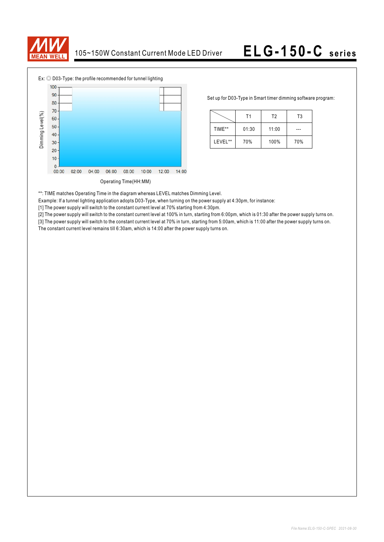



Set up for D03-Type in Smart timer dimming software program:

|         | Τ1    | T <sub>2</sub> | T <sub>3</sub> |
|---------|-------|----------------|----------------|
| TIME**  | 01:30 | 11:00          |                |
| LEVEL** | 70%   | 100%           | 70%            |

\*\*: TIME matches Operating Time in the diagram whereas LEVEL matches Dimming Level.

Example: If a tunnel lighting application adopts D03-Type, when turning on the power supply at 4:30pm, for instance:

[1] The power supply will switch to the constant current level at 70% starting from 4:30pm.

[2] The power supply will switch to the constant current level at 100% in turn, starting from 6:00pm, which is 01:30 after the power supply turns on.

[3] The power supply will switch to the constant current level at 70% in turn, starting from 5:00am, which is 11:00 after the power supply turns on. The constant current level remains till 6:30am, which is 14:00 after the power supply turns on.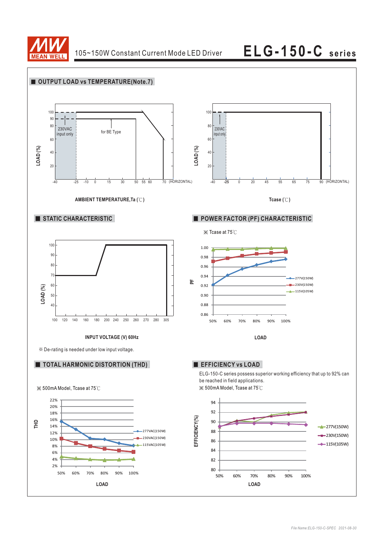

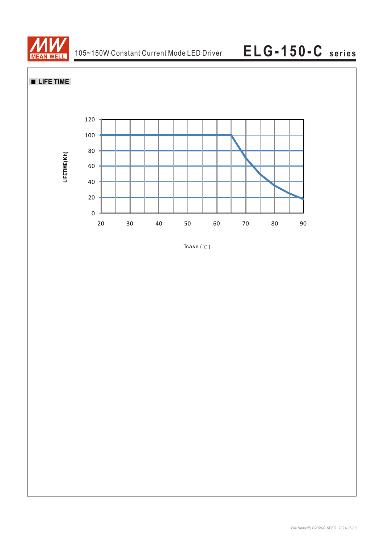



Tcase  $($   $\mathbb{C}$   $)$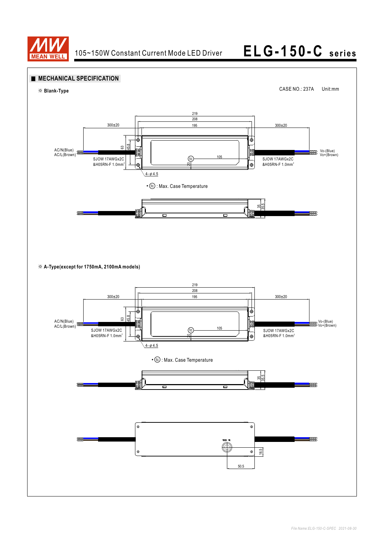

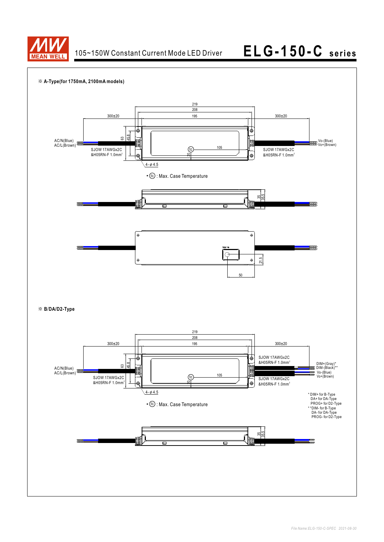

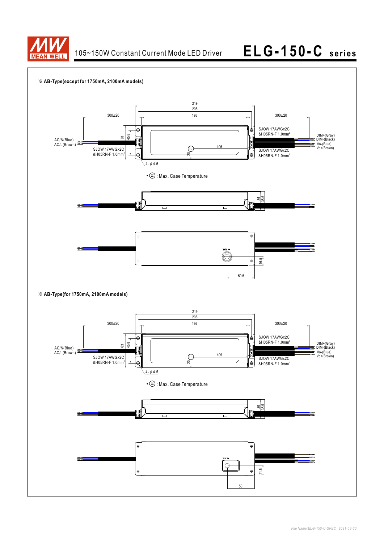